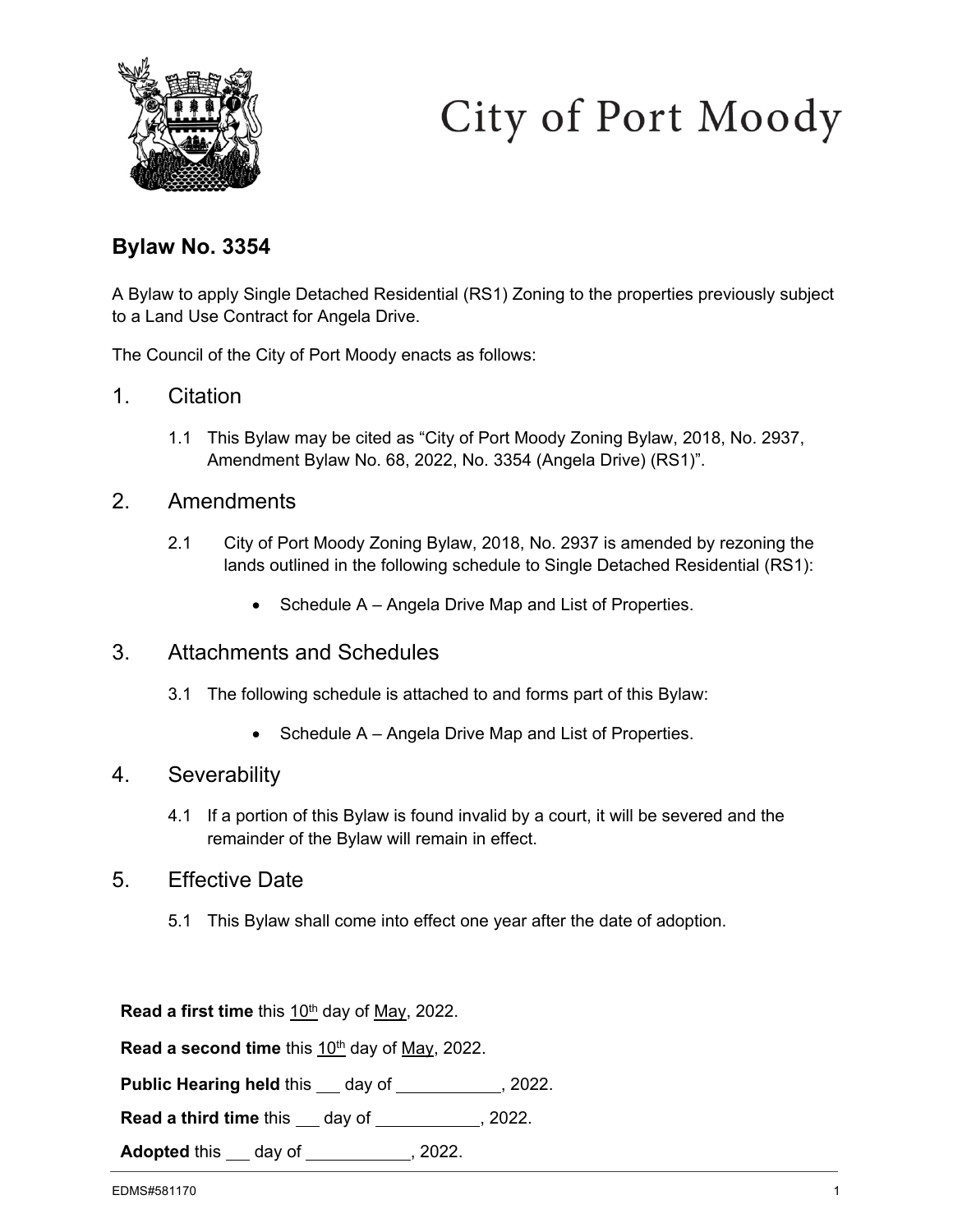

# City of Port Moody

# **Bylaw No. 3354**

A Bylaw to apply Single Detached Residential (RS1) Zoning to the properties previously subject to a Land Use Contract for Angela Drive.

The Council of the City of Port Moody enacts as follows:

- 1. Citation
	- 1.1 This Bylaw may be cited as "City of Port Moody Zoning Bylaw, 2018, No. 2937, Amendment Bylaw No. 68, 2022, No. 3354 (Angela Drive) (RS1)".

#### 2. Amendments

- 2.1 City of Port Moody Zoning Bylaw, 2018, No. 2937 is amended by rezoning the lands outlined in the following schedule to Single Detached Residential (RS1):
	- Schedule A Angela Drive Map and List of Properties.

# 3. Attachments and Schedules

- 3.1 The following schedule is attached to and forms part of this Bylaw:
	- Schedule A Angela Drive Map and List of Properties.

#### 4. Severability

4.1 If a portion of this Bylaw is found invalid by a court, it will be severed and the remainder of the Bylaw will remain in effect.

# 5. Effective Date

5.1 This Bylaw shall come into effect one year after the date of adoption.

**Read a first time** this 10<sup>th</sup> day of May, 2022.

Read a second time this 10<sup>th</sup> day of May, 2022.

**Public Hearing held this \_\_ day of \_\_\_\_\_\_\_\_\_\_, 2022.** 

**Read a third time** this \_\_\_ day of \_\_\_\_\_\_\_\_\_\_\_, 2022.

**Adopted** this <u>day of section of</u> 2022.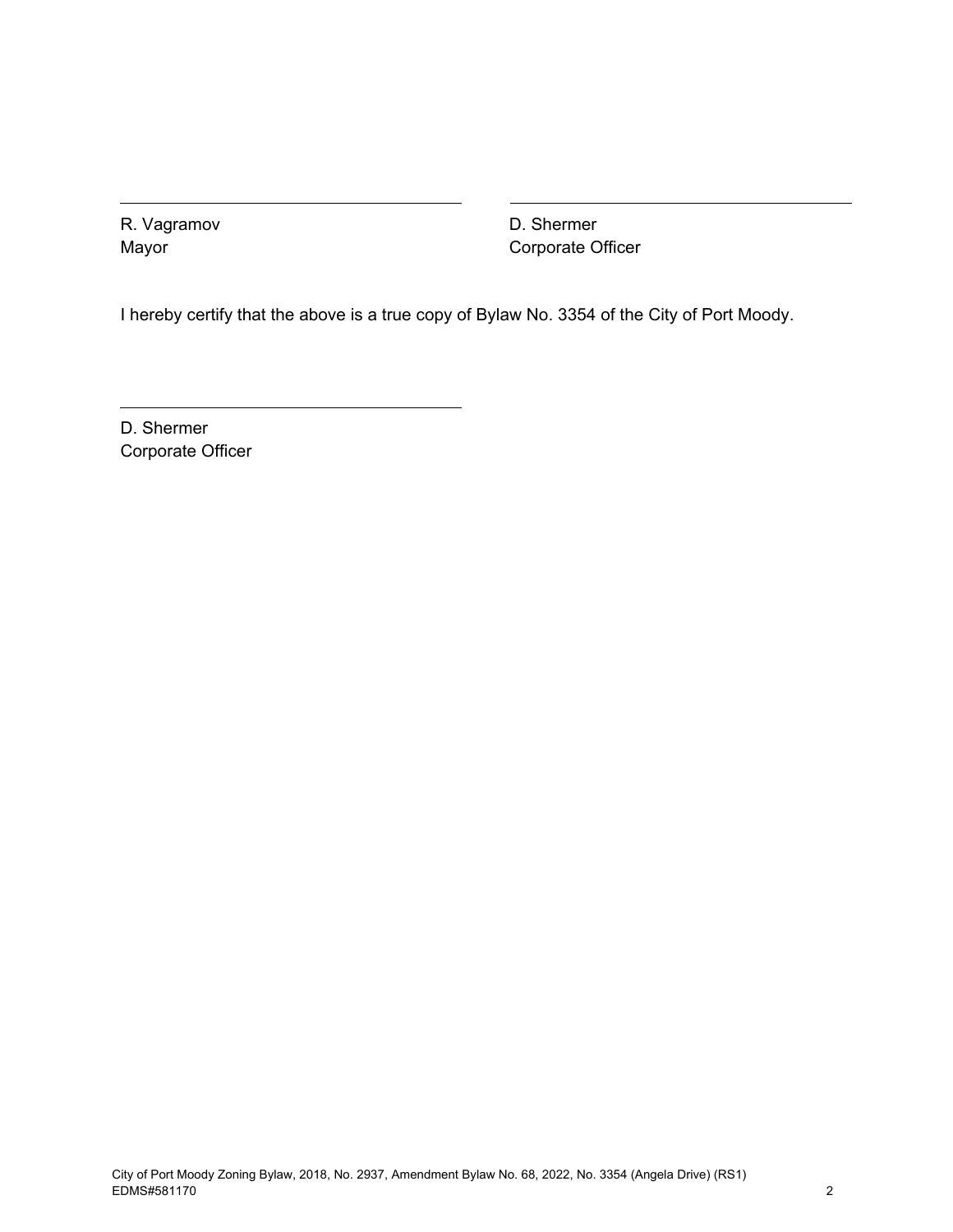R. Vagramov Mayor

D. Shermer Corporate Officer

I hereby certify that the above is a true copy of Bylaw No. 3354 of the City of Port Moody.

D. Shermer Corporate Officer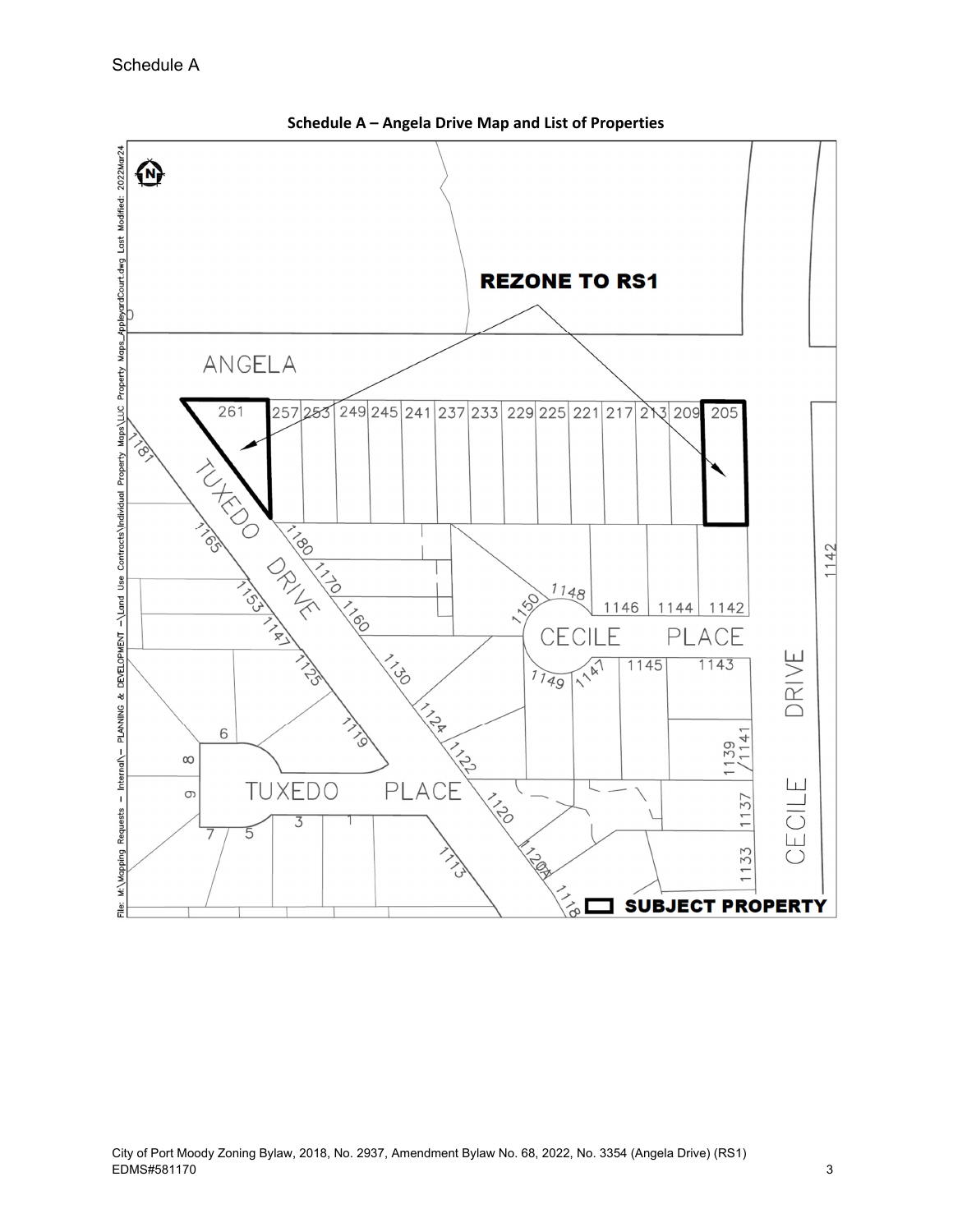

**Schedule A – Angela Drive Map and List of Properties**